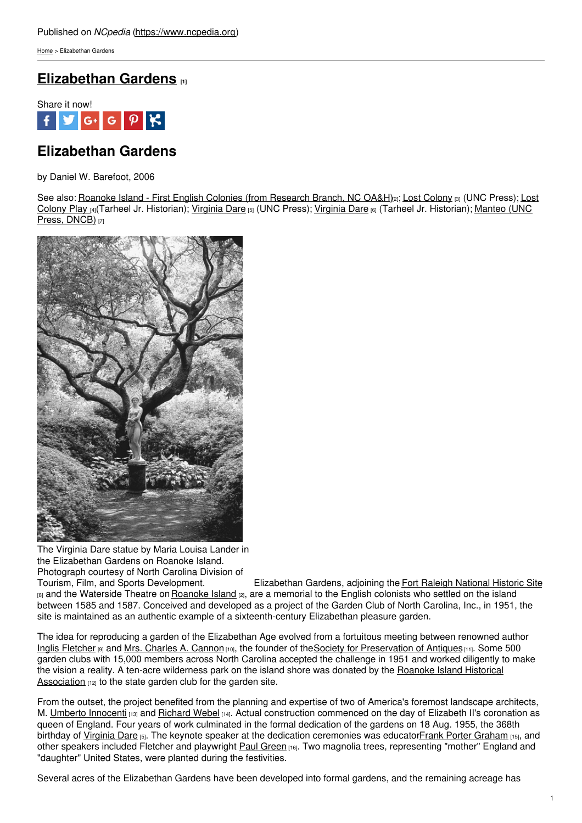[Home](https://www.ncpedia.org/) > Elizabethan Gardens

# **[Elizabethan](https://www.ncpedia.org/elizabethan-gardens) Gardens [1]**



# **Elizabethan Gardens**

by Daniel W. Barefoot, 2006

See also: Roanoke Island - First English Colonies (from [Research](https://www.ncpedia.org/roanoke-island-first-english) Branch, NC OA&H)<sub>[2]</sub>; Lost [Colony](https://www.ncpedia.org/lost-colony) [3] (UNC Press); Lost Colony Play [4](Tarheel Jr. Historian); [Virginia](https://www.ncpedia.org/culture/legends/virginia-dare) Dare [5] (UNC Press); Virginia Dare [6] (Tarheel Jr. [Historian\);](https://www.ncpedia.org/biography/manteo) Manteo (UNC Press, DNCB) [7]



The Virginia Dare statue by Maria Louisa Lander in the Elizabethan Gardens on Roanoke Island.

Photograph courtesy of North Carolina Division of Tourism, Film, and Sports Development. Elizabethan Gardens, adjoining the Fort Raleigh [National](https://www.ncpedia.org/fort-raleigh-national-historic-site) Historic Site [8] and the Waterside Theatre on [Roanoke](https://www.ncpedia.org/roanoke-island-first-english) Island [2], are a memorial to the English colonists who settled on the island between 1585 and 1587. Conceived and developed as a project of the Garden Club of North Carolina, Inc., in 1951, the site is maintained as an authentic example of a sixteenth-century Elizabethan pleasure garden.

The idea for reproducing a garden of the Elizabethan Age evolved from a fortuitous meeting between renowned author Inglis [Fletcher](https://www.ncpedia.org/biography/fletcher-minna-inglis) [9] and Mrs. [Charles](https://www.ncpedia.org/biography/cannon-charles-albert) A. Cannon [10], the founder of the Society for [Preservation](http://www.history.ncdcr.gov/centennial/features/ncspa.htm) of Antiques [11]. Some 500 garden clubs with 15,000 members across North Carolina accepted the challenge in 1951 and worked diligently to make the vision a reality. A ten-acre wilderness park on the island shore was donated by the Roanoke Island Historical [Association](http://www.ncga.state.nc.us/EnactedLegislation/Statutes/PDF/BySection/Chapter_143B/GS_143B-92.pdf)  $[12]$  to the state garden club for the garden site.

From the outset, the project benefited from the planning and expertise of two of America's foremost landscape architects, M. Umberto [Innocenti](http://tclf.org/pioneer/umberto-innocenti) [13] and [Richard](http://tclf.org/pioneer/richard-webel) Webel [14]. Actual construction commenced on the day of Elizabeth II's coronation as queen of England. Four years of work culminated in the formal dedication of the gardens on 18 Aug. 1955, the 368th birthday of [Virginia](https://www.ncpedia.org/biography/dare-virginia) Dare [5]. The keynote speaker at the dedication ceremonies was educatorFrank Porter [Graham](https://www.ncpedia.org/biography/graham-frank-porter) [15], and other speakers included Fletcher and playwright Paul [Green](http://www.ibiblio.org/paulgreen/) [16]. Two magnolia trees, representing "mother" England and "daughter" United States, were planted during the festivities.

Several acres of the Elizabethan Gardens have been developed into formal gardens, and the remaining acreage has